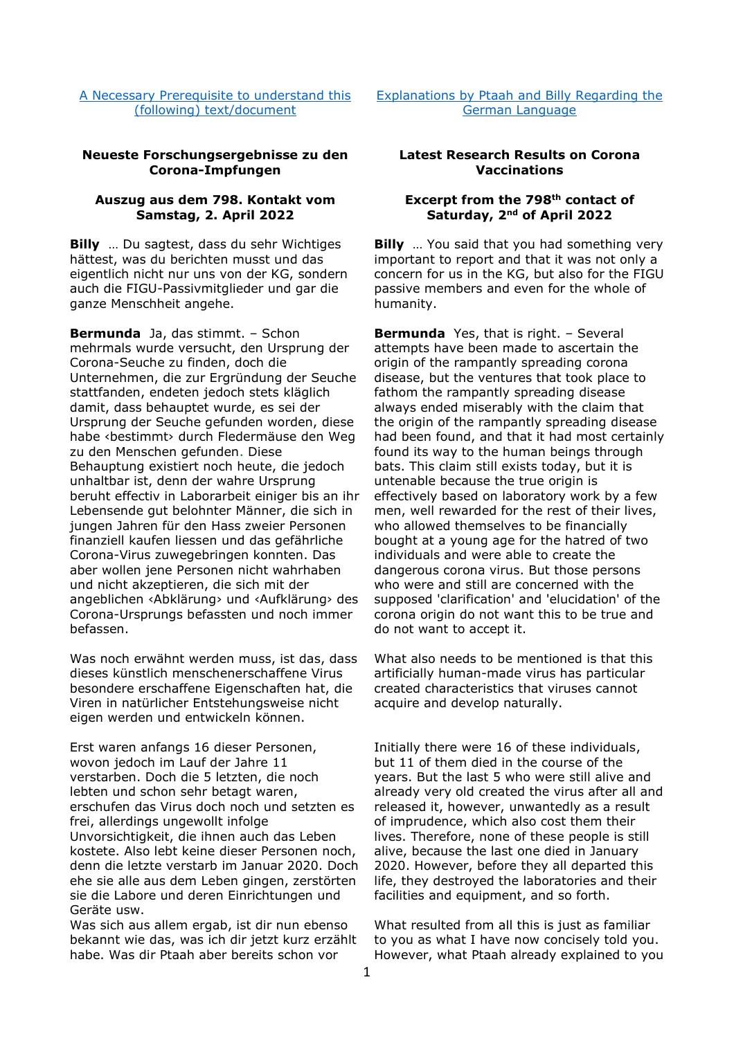[A Necessary Prerequisite to understand this](http://au.figu.org/necessary_prerequisite.html)  [\(following\) text/document](http://au.figu.org/necessary_prerequisite.html)

[Explanations by Ptaah and Billy Regarding the](http://au.figu.org/german_explanations.html)  [German Language](http://au.figu.org/german_explanations.html) 

## **Neueste Forschungsergebnisse zu den Corona-Impfungen**

## **Auszug aus dem 798. Kontakt vom Samstag, 2. April 2022**

**Billy** … Du sagtest, dass du sehr Wichtiges hättest, was du berichten musst und das eigentlich nicht nur uns von der KG, sondern auch die FIGU-Passivmitglieder und gar die ganze Menschheit angehe.

**Bermunda** Ja, das stimmt. – Schon mehrmals wurde versucht, den Ursprung der Corona-Seuche zu finden, doch die Unternehmen, die zur Ergründung der Seuche stattfanden, endeten jedoch stets kläglich damit, dass behauptet wurde, es sei der Ursprung der Seuche gefunden worden, diese habe ‹bestimmt› durch Fledermäuse den Weg zu den Menschen gefunden. Diese Behauptung existiert noch heute, die jedoch unhaltbar ist, denn der wahre Ursprung beruht effectiv in Laborarbeit einiger bis an ihr Lebensende gut belohnter Männer, die sich in jungen Jahren für den Hass zweier Personen finanziell kaufen liessen und das gefährliche Corona-Virus zuwegebringen konnten. Das aber wollen jene Personen nicht wahrhaben und nicht akzeptieren, die sich mit der angeblichen ‹Abklärung› und ‹Aufklärung› des Corona-Ursprungs befassten und noch immer befassen.

Was noch erwähnt werden muss, ist das, dass dieses künstlich menschenerschaffene Virus besondere erschaffene Eigenschaften hat, die Viren in natürlicher Entstehungsweise nicht eigen werden und entwickeln können.

Erst waren anfangs 16 dieser Personen, wovon jedoch im Lauf der Jahre 11 verstarben. Doch die 5 letzten, die noch lebten und schon sehr betagt waren, erschufen das Virus doch noch und setzten es frei, allerdings ungewollt infolge Unvorsichtigkeit, die ihnen auch das Leben kostete. Also lebt keine dieser Personen noch, denn die letzte verstarb im Januar 2020. Doch ehe sie alle aus dem Leben gingen, zerstörten sie die Labore und deren Einrichtungen und Geräte usw.

Was sich aus allem ergab, ist dir nun ebenso bekannt wie das, was ich dir jetzt kurz erzählt habe. Was dir Ptaah aber bereits schon vor

# **Latest Research Results on Corona Vaccinations**

# **Excerpt from the 798th contact of Saturday, 2nd of April 2022**

**Billy** … You said that you had something very important to report and that it was not only a concern for us in the KG, but also for the FIGU passive members and even for the whole of humanity.

**Bermunda** Yes, that is right. – Several attempts have been made to ascertain the origin of the rampantly spreading corona disease, but the ventures that took place to fathom the rampantly spreading disease always ended miserably with the claim that the origin of the rampantly spreading disease had been found, and that it had most certainly found its way to the human beings through bats. This claim still exists today, but it is untenable because the true origin is effectively based on laboratory work by a few men, well rewarded for the rest of their lives, who allowed themselves to be financially bought at a young age for the hatred of two individuals and were able to create the dangerous corona virus. But those persons who were and still are concerned with the supposed 'clarification' and 'elucidation' of the corona origin do not want this to be true and do not want to accept it.

What also needs to be mentioned is that this artificially human-made virus has particular created characteristics that viruses cannot acquire and develop naturally.

Initially there were 16 of these individuals, but 11 of them died in the course of the years. But the last 5 who were still alive and already very old created the virus after all and released it, however, unwantedly as a result of imprudence, which also cost them their lives. Therefore, none of these people is still alive, because the last one died in January 2020. However, before they all departed this life, they destroyed the laboratories and their facilities and equipment, and so forth.

What resulted from all this is just as familiar to you as what I have now concisely told you. However, what Ptaah already explained to you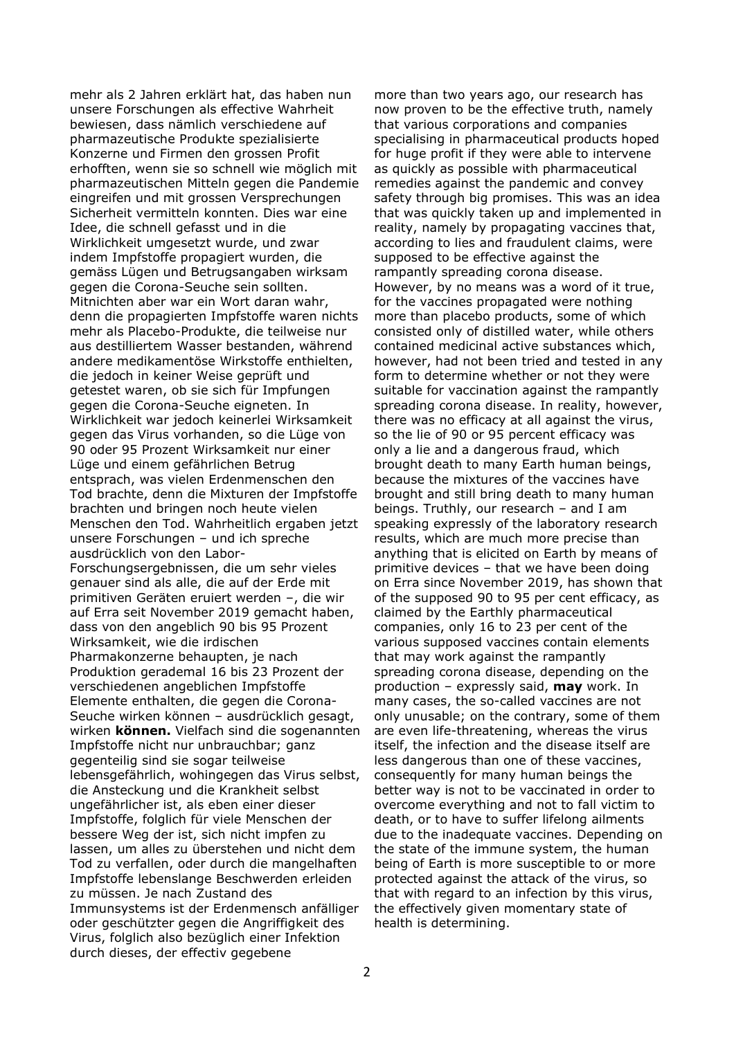mehr als 2 Jahren erklärt hat, das haben nun unsere Forschungen als effective Wahrheit bewiesen, dass nämlich verschiedene auf pharmazeutische Produkte spezialisierte Konzerne und Firmen den grossen Profit erhofften, wenn sie so schnell wie möglich mit pharmazeutischen Mitteln gegen die Pandemie eingreifen und mit grossen Versprechungen Sicherheit vermitteln konnten. Dies war eine Idee, die schnell gefasst und in die Wirklichkeit umgesetzt wurde, und zwar indem Impfstoffe propagiert wurden, die gemäss Lügen und Betrugsangaben wirksam gegen die Corona-Seuche sein sollten. Mitnichten aber war ein Wort daran wahr, denn die propagierten Impfstoffe waren nichts mehr als Placebo-Produkte, die teilweise nur aus destilliertem Wasser bestanden, während andere medikamentöse Wirkstoffe enthielten, die jedoch in keiner Weise geprüft und getestet waren, ob sie sich für Impfungen gegen die Corona-Seuche eigneten. In Wirklichkeit war jedoch keinerlei Wirksamkeit gegen das Virus vorhanden, so die Lüge von 90 oder 95 Prozent Wirksamkeit nur einer Lüge und einem gefährlichen Betrug entsprach, was vielen Erdenmenschen den Tod brachte, denn die Mixturen der Impfstoffe brachten und bringen noch heute vielen Menschen den Tod. Wahrheitlich ergaben jetzt unsere Forschungen – und ich spreche ausdrücklich von den Labor-Forschungsergebnissen, die um sehr vieles genauer sind als alle, die auf der Erde mit primitiven Geräten eruiert werden –, die wir auf Erra seit November 2019 gemacht haben, dass von den angeblich 90 bis 95 Prozent Wirksamkeit, wie die irdischen Pharmakonzerne behaupten, je nach Produktion gerademal 16 bis 23 Prozent der verschiedenen angeblichen Impfstoffe Elemente enthalten, die gegen die Corona-Seuche wirken können – ausdrücklich gesagt, wirken **können.** Vielfach sind die sogenannten Impfstoffe nicht nur unbrauchbar; ganz gegenteilig sind sie sogar teilweise lebensgefährlich, wohingegen das Virus selbst, die Ansteckung und die Krankheit selbst ungefährlicher ist, als eben einer dieser Impfstoffe, folglich für viele Menschen der bessere Weg der ist, sich nicht impfen zu lassen, um alles zu überstehen und nicht dem Tod zu verfallen, oder durch die mangelhaften Impfstoffe lebenslange Beschwerden erleiden zu müssen. Je nach Zustand des Immunsystems ist der Erdenmensch anfälliger oder geschützter gegen die Angriffigkeit des Virus, folglich also bezüglich einer Infektion durch dieses, der effectiv gegebene

more than two years ago, our research has now proven to be the effective truth, namely that various corporations and companies specialising in pharmaceutical products hoped for huge profit if they were able to intervene as quickly as possible with pharmaceutical remedies against the pandemic and convey safety through big promises. This was an idea that was quickly taken up and implemented in reality, namely by propagating vaccines that, according to lies and fraudulent claims, were supposed to be effective against the rampantly spreading corona disease. However, by no means was a word of it true, for the vaccines propagated were nothing more than placebo products, some of which consisted only of distilled water, while others contained medicinal active substances which, however, had not been tried and tested in any form to determine whether or not they were suitable for vaccination against the rampantly spreading corona disease. In reality, however, there was no efficacy at all against the virus, so the lie of 90 or 95 percent efficacy was only a lie and a dangerous fraud, which brought death to many Earth human beings, because the mixtures of the vaccines have brought and still bring death to many human beings. Truthly, our research – and I am speaking expressly of the laboratory research results, which are much more precise than anything that is elicited on Earth by means of primitive devices – that we have been doing on Erra since November 2019, has shown that of the supposed 90 to 95 per cent efficacy, as claimed by the Earthly pharmaceutical companies, only 16 to 23 per cent of the various supposed vaccines contain elements that may work against the rampantly spreading corona disease, depending on the production – expressly said, **may** work. In many cases, the so-called vaccines are not only unusable; on the contrary, some of them are even life-threatening, whereas the virus itself, the infection and the disease itself are less dangerous than one of these vaccines, consequently for many human beings the better way is not to be vaccinated in order to overcome everything and not to fall victim to death, or to have to suffer lifelong ailments due to the inadequate vaccines. Depending on the state of the immune system, the human being of Earth is more susceptible to or more protected against the attack of the virus, so that with regard to an infection by this virus, the effectively given momentary state of health is determining.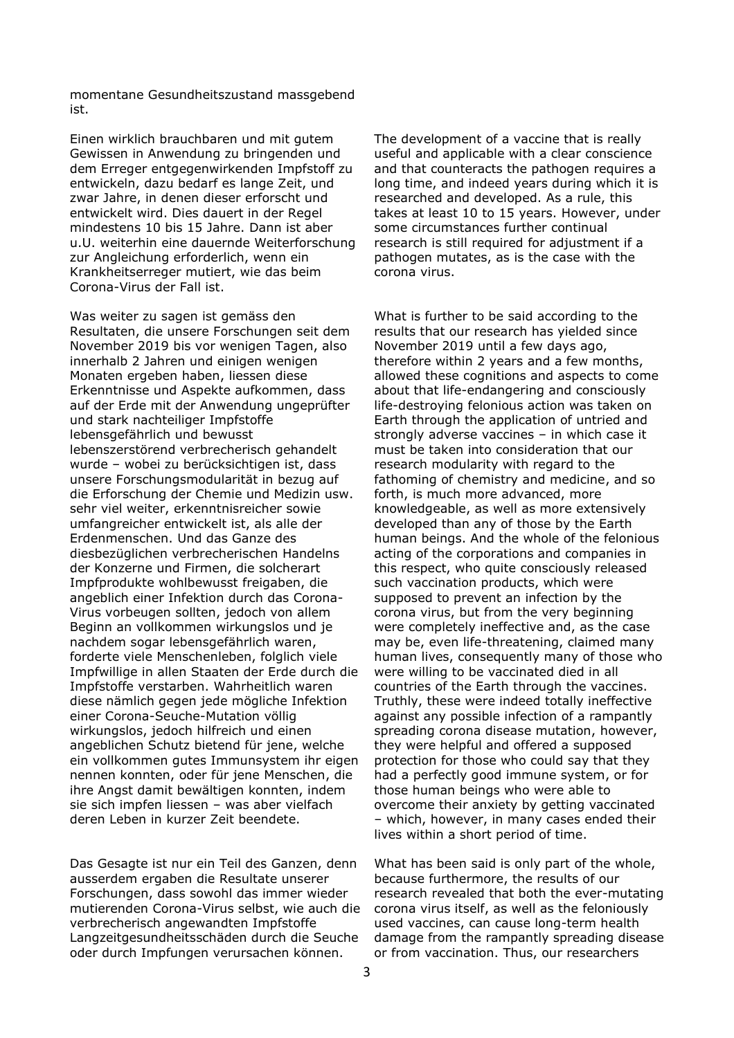momentane Gesundheitszustand massgebend ist.

Einen wirklich brauchbaren und mit gutem Gewissen in Anwendung zu bringenden und dem Erreger entgegenwirkenden Impfstoff zu entwickeln, dazu bedarf es lange Zeit, und zwar Jahre, in denen dieser erforscht und entwickelt wird. Dies dauert in der Regel mindestens 10 bis 15 Jahre. Dann ist aber u.U. weiterhin eine dauernde Weiterforschung zur Angleichung erforderlich, wenn ein Krankheitserreger mutiert, wie das beim Corona-Virus der Fall ist.

Was weiter zu sagen ist gemäss den Resultaten, die unsere Forschungen seit dem November 2019 bis vor wenigen Tagen, also innerhalb 2 Jahren und einigen wenigen Monaten ergeben haben, liessen diese Erkenntnisse und Aspekte aufkommen, dass auf der Erde mit der Anwendung ungeprüfter und stark nachteiliger Impfstoffe lebensgefährlich und bewusst lebenszerstörend verbrecherisch gehandelt wurde – wobei zu berücksichtigen ist, dass unsere Forschungsmodularität in bezug auf die Erforschung der Chemie und Medizin usw. sehr viel weiter, erkenntnisreicher sowie umfangreicher entwickelt ist, als alle der Erdenmenschen. Und das Ganze des diesbezüglichen verbrecherischen Handelns der Konzerne und Firmen, die solcherart Impfprodukte wohlbewusst freigaben, die angeblich einer Infektion durch das Corona-Virus vorbeugen sollten, jedoch von allem Beginn an vollkommen wirkungslos und je nachdem sogar lebensgefährlich waren, forderte viele Menschenleben, folglich viele Impfwillige in allen Staaten der Erde durch die Impfstoffe verstarben. Wahrheitlich waren diese nämlich gegen jede mögliche Infektion einer Corona-Seuche-Mutation völlig wirkungslos, jedoch hilfreich und einen angeblichen Schutz bietend für jene, welche ein vollkommen gutes Immunsystem ihr eigen nennen konnten, oder für jene Menschen, die ihre Angst damit bewältigen konnten, indem sie sich impfen liessen – was aber vielfach deren Leben in kurzer Zeit beendete.

Das Gesagte ist nur ein Teil des Ganzen, denn ausserdem ergaben die Resultate unserer Forschungen, dass sowohl das immer wieder mutierenden Corona-Virus selbst, wie auch die verbrecherisch angewandten Impfstoffe Langzeitgesundheitsschäden durch die Seuche oder durch Impfungen verursachen können.

The development of a vaccine that is really useful and applicable with a clear conscience and that counteracts the pathogen requires a long time, and indeed years during which it is researched and developed. As a rule, this takes at least 10 to 15 years. However, under some circumstances further continual research is still required for adjustment if a pathogen mutates, as is the case with the corona virus.

What is further to be said according to the results that our research has yielded since November 2019 until a few days ago, therefore within 2 years and a few months, allowed these cognitions and aspects to come about that life-endangering and consciously life-destroying felonious action was taken on Earth through the application of untried and strongly adverse vaccines – in which case it must be taken into consideration that our research modularity with regard to the fathoming of chemistry and medicine, and so forth, is much more advanced, more knowledgeable, as well as more extensively developed than any of those by the Earth human beings. And the whole of the felonious acting of the corporations and companies in this respect, who quite consciously released such vaccination products, which were supposed to prevent an infection by the corona virus, but from the very beginning were completely ineffective and, as the case may be, even life-threatening, claimed many human lives, consequently many of those who were willing to be vaccinated died in all countries of the Earth through the vaccines. Truthly, these were indeed totally ineffective against any possible infection of a rampantly spreading corona disease mutation, however, they were helpful and offered a supposed protection for those who could say that they had a perfectly good immune system, or for those human beings who were able to overcome their anxiety by getting vaccinated – which, however, in many cases ended their lives within a short period of time.

What has been said is only part of the whole, because furthermore, the results of our research revealed that both the ever-mutating corona virus itself, as well as the feloniously used vaccines, can cause long-term health damage from the rampantly spreading disease or from vaccination. Thus, our researchers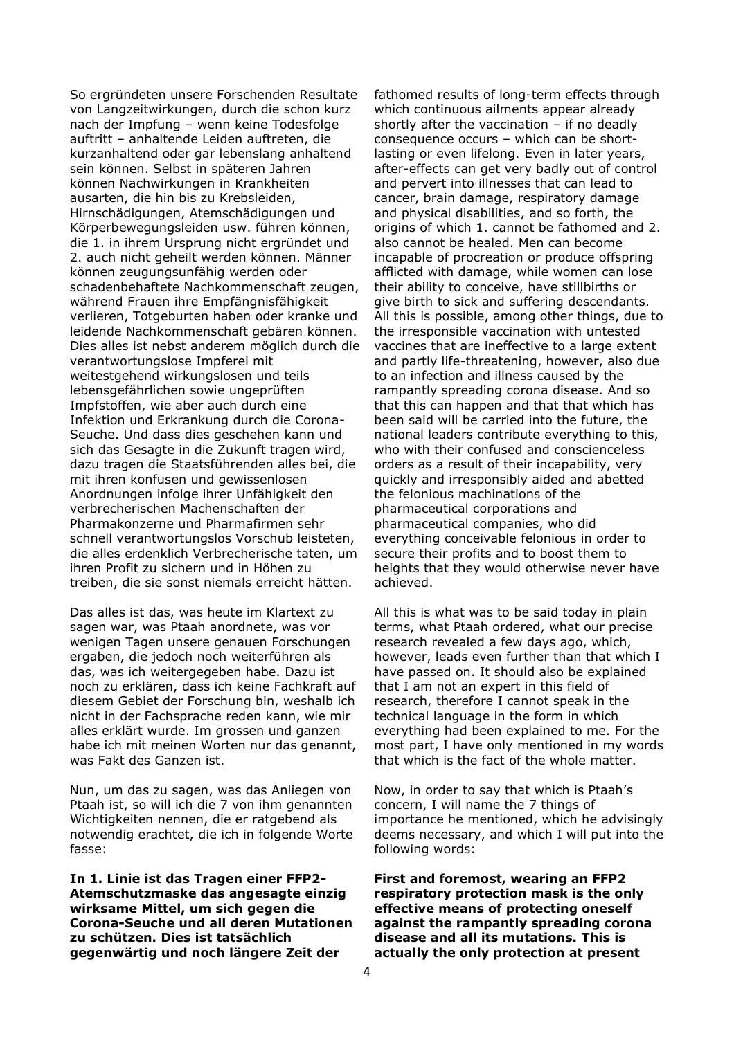So ergründeten unsere Forschenden Resultate von Langzeitwirkungen, durch die schon kurz nach der Impfung – wenn keine Todesfolge auftritt – anhaltende Leiden auftreten, die kurzanhaltend oder gar lebenslang anhaltend sein können. Selbst in späteren Jahren können Nachwirkungen in Krankheiten ausarten, die hin bis zu Krebsleiden, Hirnschädigungen, Atemschädigungen und Körperbewegungsleiden usw. führen können, die 1. in ihrem Ursprung nicht ergründet und 2. auch nicht geheilt werden können. Männer können zeugungsunfähig werden oder schadenbehaftete Nachkommenschaft zeugen, während Frauen ihre Empfängnisfähigkeit verlieren, Totgeburten haben oder kranke und leidende Nachkommenschaft gebären können. Dies alles ist nebst anderem möglich durch die verantwortungslose Impferei mit weitestgehend wirkungslosen und teils lebensgefährlichen sowie ungeprüften Impfstoffen, wie aber auch durch eine Infektion und Erkrankung durch die Corona-Seuche. Und dass dies geschehen kann und sich das Gesagte in die Zukunft tragen wird, dazu tragen die Staatsführenden alles bei, die mit ihren konfusen und gewissenlosen Anordnungen infolge ihrer Unfähigkeit den verbrecherischen Machenschaften der Pharmakonzerne und Pharmafirmen sehr schnell verantwortungslos Vorschub leisteten, die alles erdenklich Verbrecherische taten, um ihren Profit zu sichern und in Höhen zu treiben, die sie sonst niemals erreicht hätten.

Das alles ist das, was heute im Klartext zu sagen war, was Ptaah anordnete, was vor wenigen Tagen unsere genauen Forschungen ergaben, die jedoch noch weiterführen als das, was ich weitergegeben habe. Dazu ist noch zu erklären, dass ich keine Fachkraft auf diesem Gebiet der Forschung bin, weshalb ich nicht in der Fachsprache reden kann, wie mir alles erklärt wurde. Im grossen und ganzen habe ich mit meinen Worten nur das genannt, was Fakt des Ganzen ist.

Nun, um das zu sagen, was das Anliegen von Ptaah ist, so will ich die 7 von ihm genannten Wichtigkeiten nennen, die er ratgebend als notwendig erachtet, die ich in folgende Worte fasse:

**In 1. Linie ist das Tragen einer FFP2- Atemschutzmaske das angesagte einzig wirksame Mittel, um sich gegen die Corona-Seuche und all deren Mutationen zu schützen. Dies ist tatsächlich gegenwärtig und noch längere Zeit der** 

fathomed results of long-term effects through which continuous ailments appear already shortly after the vaccination  $-$  if no deadly consequence occurs – which can be shortlasting or even lifelong. Even in later years, after-effects can get very badly out of control and pervert into illnesses that can lead to cancer, brain damage, respiratory damage and physical disabilities, and so forth, the origins of which 1. cannot be fathomed and 2. also cannot be healed. Men can become incapable of procreation or produce offspring afflicted with damage, while women can lose their ability to conceive, have stillbirths or give birth to sick and suffering descendants. All this is possible, among other things, due to the irresponsible vaccination with untested vaccines that are ineffective to a large extent and partly life-threatening, however, also due to an infection and illness caused by the rampantly spreading corona disease. And so that this can happen and that that which has been said will be carried into the future, the national leaders contribute everything to this, who with their confused and conscienceless orders as a result of their incapability, very quickly and irresponsibly aided and abetted the felonious machinations of the pharmaceutical corporations and pharmaceutical companies, who did everything conceivable felonious in order to secure their profits and to boost them to heights that they would otherwise never have achieved.

All this is what was to be said today in plain terms, what Ptaah ordered, what our precise research revealed a few days ago, which, however, leads even further than that which I have passed on. It should also be explained that I am not an expert in this field of research, therefore I cannot speak in the technical language in the form in which everything had been explained to me. For the most part, I have only mentioned in my words that which is the fact of the whole matter.

Now, in order to say that which is Ptaah's concern, I will name the 7 things of importance he mentioned, which he advisingly deems necessary, and which I will put into the following words:

**First and foremost, wearing an FFP2 respiratory protection mask is the only effective means of protecting oneself against the rampantly spreading corona disease and all its mutations. This is actually the only protection at present**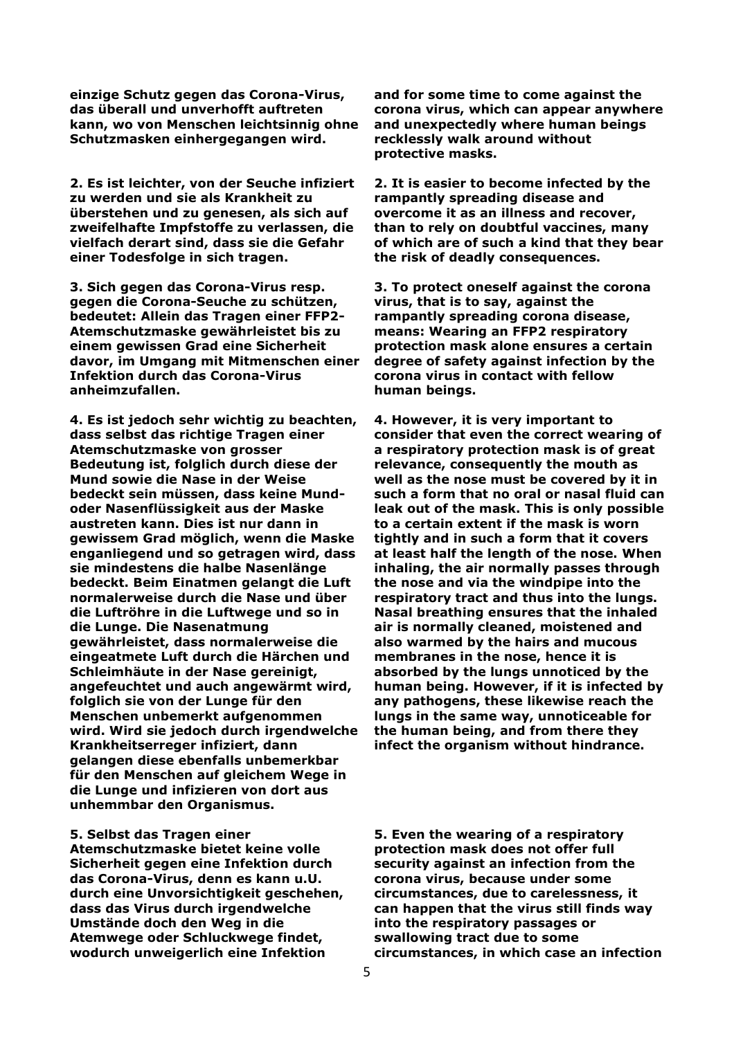**einzige Schutz gegen das Corona-Virus, das überall und unverhofft auftreten kann, wo von Menschen leichtsinnig ohne Schutzmasken einhergegangen wird.** 

**2. Es ist leichter, von der Seuche infiziert zu werden und sie als Krankheit zu überstehen und zu genesen, als sich auf zweifelhafte Impfstoffe zu verlassen, die vielfach derart sind, dass sie die Gefahr einer Todesfolge in sich tragen.** 

**3. Sich gegen das Corona-Virus resp. gegen die Corona-Seuche zu schützen, bedeutet: Allein das Tragen einer FFP2- Atemschutzmaske gewährleistet bis zu einem gewissen Grad eine Sicherheit davor, im Umgang mit Mitmenschen einer Infektion durch das Corona-Virus anheimzufallen.** 

**4. Es ist jedoch sehr wichtig zu beachten, dass selbst das richtige Tragen einer Atemschutzmaske von grosser Bedeutung ist, folglich durch diese der Mund sowie die Nase in der Weise bedeckt sein müssen, dass keine Mundoder Nasenflüssigkeit aus der Maske austreten kann. Dies ist nur dann in gewissem Grad möglich, wenn die Maske enganliegend und so getragen wird, dass sie mindestens die halbe Nasenlänge bedeckt. Beim Einatmen gelangt die Luft normalerweise durch die Nase und über die Luftröhre in die Luftwege und so in die Lunge. Die Nasenatmung gewährleistet, dass normalerweise die eingeatmete Luft durch die Härchen und Schleimhäute in der Nase gereinigt, angefeuchtet und auch angewärmt wird, folglich sie von der Lunge für den Menschen unbemerkt aufgenommen wird. Wird sie jedoch durch irgendwelche Krankheitserreger infiziert, dann gelangen diese ebenfalls unbemerkbar für den Menschen auf gleichem Wege in die Lunge und infizieren von dort aus unhemmbar den Organismus.** 

#### **5. Selbst das Tragen einer**

**Atemschutzmaske bietet keine volle Sicherheit gegen eine Infektion durch das Corona-Virus, denn es kann u.U. durch eine Unvorsichtigkeit geschehen, dass das Virus durch irgendwelche Umstände doch den Weg in die Atemwege oder Schluckwege findet, wodurch unweigerlich eine Infektion** 

**and for some time to come against the corona virus, which can appear anywhere and unexpectedly where human beings recklessly walk around without protective masks.** 

**2. It is easier to become infected by the rampantly spreading disease and overcome it as an illness and recover, than to rely on doubtful vaccines, many of which are of such a kind that they bear the risk of deadly consequences.** 

**3. To protect oneself against the corona virus, that is to say, against the rampantly spreading corona disease, means: Wearing an FFP2 respiratory protection mask alone ensures a certain degree of safety against infection by the corona virus in contact with fellow human beings.** 

**4. However, it is very important to consider that even the correct wearing of a respiratory protection mask is of great relevance, consequently the mouth as well as the nose must be covered by it in such a form that no oral or nasal fluid can leak out of the mask. This is only possible to a certain extent if the mask is worn tightly and in such a form that it covers at least half the length of the nose. When inhaling, the air normally passes through the nose and via the windpipe into the respiratory tract and thus into the lungs. Nasal breathing ensures that the inhaled air is normally cleaned, moistened and also warmed by the hairs and mucous membranes in the nose, hence it is absorbed by the lungs unnoticed by the human being. However, if it is infected by any pathogens, these likewise reach the lungs in the same way, unnoticeable for the human being, and from there they infect the organism without hindrance.** 

**5. Even the wearing of a respiratory protection mask does not offer full security against an infection from the corona virus, because under some circumstances, due to carelessness, it can happen that the virus still finds way into the respiratory passages or swallowing tract due to some circumstances, in which case an infection**